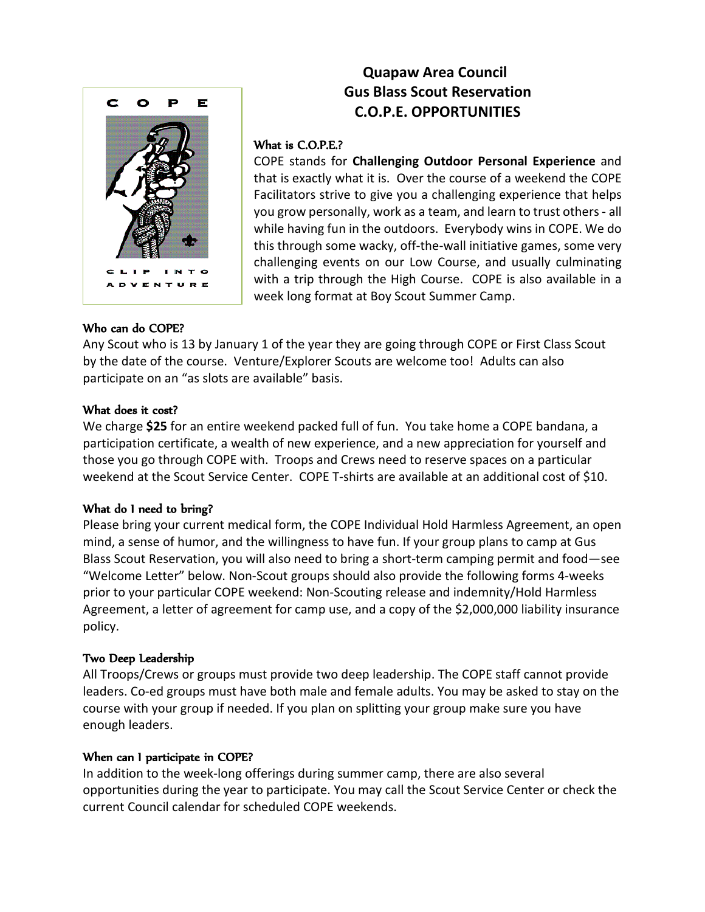

# **Quapaw Area Council Gus Blass Scout Reservation C.O.P.E. OPPORTUNITIES**

# What is C.O.P.E.?

COPE stands for **Challenging Outdoor Personal Experience** and that is exactly what it is. Over the course of a weekend the COPE Facilitators strive to give you a challenging experience that helps you grow personally, work as a team, and learn to trust others- all while having fun in the outdoors. Everybody wins in COPE. We do this through some wacky, off-the-wall initiative games, some very challenging events on our Low Course, and usually culminating with a trip through the High Course. COPE is also available in a week long format at Boy Scout Summer Camp.

# Who can do COPE?

Any Scout who is 13 by January 1 of the year they are going through COPE or First Class Scout by the date of the course. Venture/Explorer Scouts are welcome too! Adults can also participate on an "as slots are available" basis.

### What does it cost?

We charge **\$25** for an entire weekend packed full of fun. You take home a COPE bandana, a participation certificate, a wealth of new experience, and a new appreciation for yourself and those you go through COPE with. Troops and Crews need to reserve spaces on a particular weekend at the Scout Service Center. COPE T-shirts are available at an additional cost of \$10.

# What do I need to bring?

Please bring your current medical form, the COPE Individual Hold Harmless Agreement, an open mind, a sense of humor, and the willingness to have fun. If your group plans to camp at Gus Blass Scout Reservation, you will also need to bring a short-term camping permit and food—see "Welcome Letter" below. Non-Scout groups should also provide the following forms 4-weeks prior to your particular COPE weekend: Non-Scouting release and indemnity/Hold Harmless Agreement, a letter of agreement for camp use, and a copy of the \$2,000,000 liability insurance policy.

# Two Deep Leadership

All Troops/Crews or groups must provide two deep leadership. The COPE staff cannot provide leaders. Co-ed groups must have both male and female adults. You may be asked to stay on the course with your group if needed. If you plan on splitting your group make sure you have enough leaders.

# When can I participate in COPE?

In addition to the week-long offerings during summer camp, there are also several opportunities during the year to participate. You may call the Scout Service Center or check the current Council calendar for scheduled COPE weekends.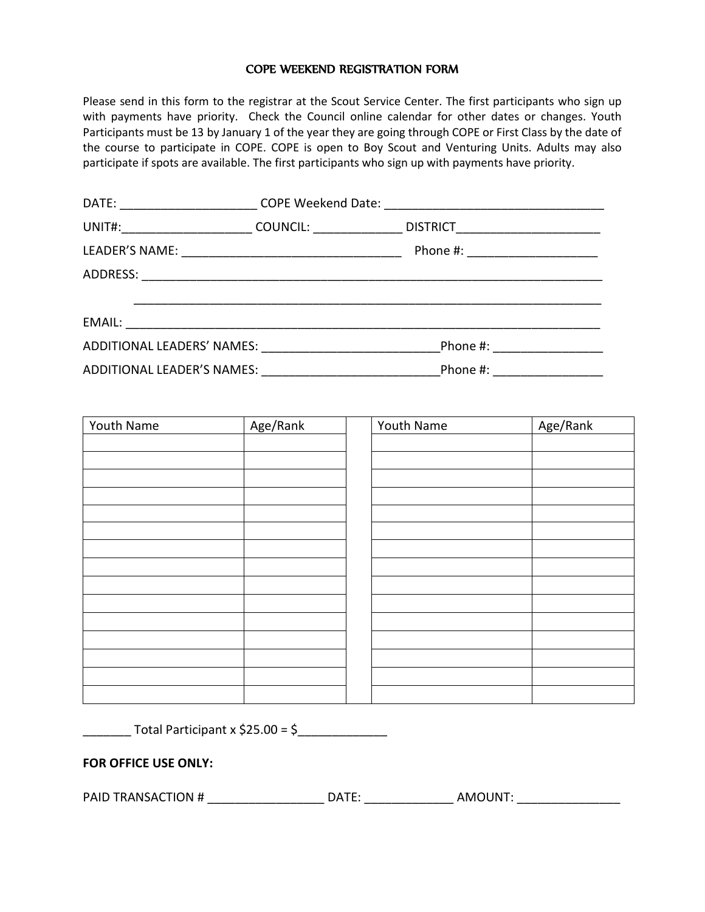#### COPE WEEKEND REGISTRATION FORM

Please send in this form to the registrar at the Scout Service Center. The first participants who sign up with payments have priority. Check the Council online calendar for other dates or changes. Youth Participants must be 13 by January 1 of the year they are going through COPE or First Class by the date of the course to participate in COPE. COPE is open to Boy Scout and Venturing Units. Adults may also participate if spots are available. The first participants who sign up with payments have priority.

| DATE: __________________________COPE Weekend Date: _____________________________ |                                   |  |
|----------------------------------------------------------------------------------|-----------------------------------|--|
|                                                                                  | DISTRICT_________________________ |  |
|                                                                                  | Phone #: _______________________  |  |
|                                                                                  |                                   |  |
|                                                                                  |                                   |  |
|                                                                                  |                                   |  |
|                                                                                  |                                   |  |
|                                                                                  | Phone #: _______________          |  |

| Youth Name | Age/Rank | Youth Name | Age/Rank |
|------------|----------|------------|----------|
|            |          |            |          |
|            |          |            |          |
|            |          |            |          |
|            |          |            |          |
|            |          |            |          |
|            |          |            |          |
|            |          |            |          |
|            |          |            |          |
|            |          |            |          |
|            |          |            |          |
|            |          |            |          |
|            |          |            |          |
|            |          |            |          |
|            |          |            |          |
|            |          |            |          |

 $\frac{1}{2}$  Total Participant x \$25.00 = \$

#### **FOR OFFICE USE ONLY:**

PAID TRANSACTION # \_\_\_\_\_\_\_\_\_\_\_\_\_\_\_\_\_\_\_\_\_\_ DATE: \_\_\_\_\_\_\_\_\_\_\_\_\_\_\_\_\_ AMOUNT: \_\_\_\_\_\_\_\_\_\_\_\_\_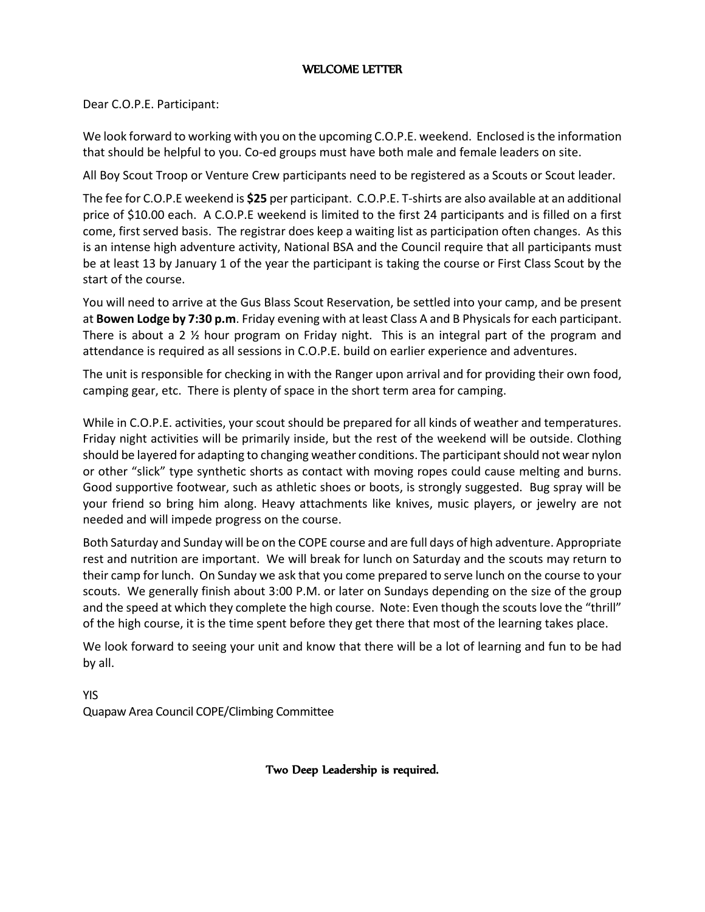# WELCOME LETTER

Dear C.O.P.E. Participant:

We look forward to working with you on the upcoming C.O.P.E. weekend. Enclosed is the information that should be helpful to you. Co-ed groups must have both male and female leaders on site.

All Boy Scout Troop or Venture Crew participants need to be registered as a Scouts or Scout leader.

The fee for C.O.P.E weekend is **\$25** per participant. C.O.P.E. T-shirts are also available at an additional price of \$10.00 each. A C.O.P.E weekend is limited to the first 24 participants and is filled on a first come, first served basis. The registrar does keep a waiting list as participation often changes. As this is an intense high adventure activity, National BSA and the Council require that all participants must be at least 13 by January 1 of the year the participant is taking the course or First Class Scout by the start of the course.

You will need to arrive at the Gus Blass Scout Reservation, be settled into your camp, and be present at **Bowen Lodge by 7:30 p.m**. Friday evening with at least Class A and B Physicals for each participant. There is about a 2 ½ hour program on Friday night. This is an integral part of the program and attendance is required as all sessions in C.O.P.E. build on earlier experience and adventures.

The unit is responsible for checking in with the Ranger upon arrival and for providing their own food, camping gear, etc. There is plenty of space in the short term area for camping.

While in C.O.P.E. activities, your scout should be prepared for all kinds of weather and temperatures. Friday night activities will be primarily inside, but the rest of the weekend will be outside. Clothing should be layered for adapting to changing weather conditions. The participant should not wear nylon or other "slick" type synthetic shorts as contact with moving ropes could cause melting and burns. Good supportive footwear, such as athletic shoes or boots, is strongly suggested. Bug spray will be your friend so bring him along. Heavy attachments like knives, music players, or jewelry are not needed and will impede progress on the course.

Both Saturday and Sunday will be on the COPE course and are full days of high adventure. Appropriate rest and nutrition are important. We will break for lunch on Saturday and the scouts may return to their camp for lunch. On Sunday we ask that you come prepared to serve lunch on the course to your scouts. We generally finish about 3:00 P.M. or later on Sundays depending on the size of the group and the speed at which they complete the high course. Note: Even though the scouts love the "thrill" of the high course, it is the time spent before they get there that most of the learning takes place.

We look forward to seeing your unit and know that there will be a lot of learning and fun to be had by all.

YIS Quapaw Area Council COPE/Climbing Committee

Two Deep Leadership is required.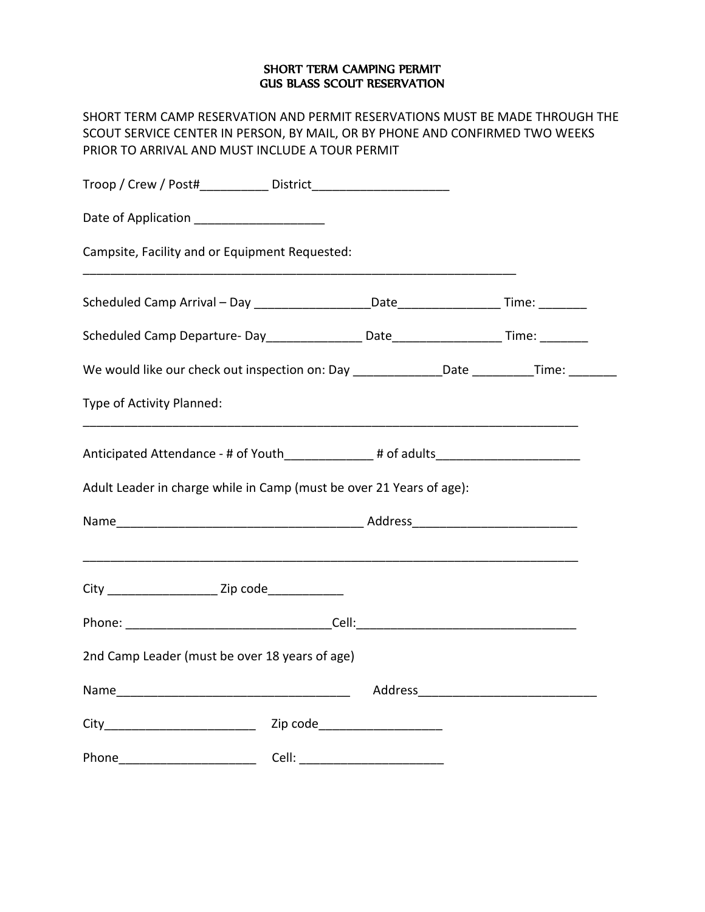### SHORT TERM CAMPING PERMIT GUS BLASS SCOUT RESERVATION

SHORT TERM CAMP RESERVATION AND PERMIT RESERVATIONS MUST BE MADE THROUGH THE SCOUT SERVICE CENTER IN PERSON, BY MAIL, OR BY PHONE AND CONFIRMED TWO WEEKS PRIOR TO ARRIVAL AND MUST INCLUDE A TOUR PERMIT

| Date of Application _____________________                                                                                                                                                                                                                                                                                                                                                       |  |  |  |  |  |
|-------------------------------------------------------------------------------------------------------------------------------------------------------------------------------------------------------------------------------------------------------------------------------------------------------------------------------------------------------------------------------------------------|--|--|--|--|--|
| Campsite, Facility and or Equipment Requested:                                                                                                                                                                                                                                                                                                                                                  |  |  |  |  |  |
|                                                                                                                                                                                                                                                                                                                                                                                                 |  |  |  |  |  |
|                                                                                                                                                                                                                                                                                                                                                                                                 |  |  |  |  |  |
| We would like our check out inspection on: Day _______________Date __________Time: _______                                                                                                                                                                                                                                                                                                      |  |  |  |  |  |
| Type of Activity Planned:                                                                                                                                                                                                                                                                                                                                                                       |  |  |  |  |  |
| Anticipated Attendance - # of Youth____________# of adults______________________                                                                                                                                                                                                                                                                                                                |  |  |  |  |  |
| Adult Leader in charge while in Camp (must be over 21 Years of age):                                                                                                                                                                                                                                                                                                                            |  |  |  |  |  |
|                                                                                                                                                                                                                                                                                                                                                                                                 |  |  |  |  |  |
| City _________________________ Zip code_______________                                                                                                                                                                                                                                                                                                                                          |  |  |  |  |  |
|                                                                                                                                                                                                                                                                                                                                                                                                 |  |  |  |  |  |
| 2nd Camp Leader (must be over 18 years of age)                                                                                                                                                                                                                                                                                                                                                  |  |  |  |  |  |
|                                                                                                                                                                                                                                                                                                                                                                                                 |  |  |  |  |  |
| City Zip code Zip Code                                                                                                                                                                                                                                                                                                                                                                          |  |  |  |  |  |
| Phone <b>Cell</b> : <b>Cell</b> : <b>Cell</b> : <b>Cell</b> : <b>Cell</b> : <b>Cell</b> : <b>Cell</b> : <b>Cell</b> : <b>Cell</b> : <b>Cell</b> : <b>Cell</b> : <b>Cell</b> : <b>Cell</b> : <b>Cell</b> : <b>Cell</b> : <b>Cell</b> : <b>Cell</b> : <b>Cell</b> : <b>Cell</b> : <b>Cell</b> : <b>Cell</b> : <b>Cell</b> : <b>Cell</b> : <b>CELL</b> : <b>CELL</b> : <b>CELL</b> : <b>CELL</b> : |  |  |  |  |  |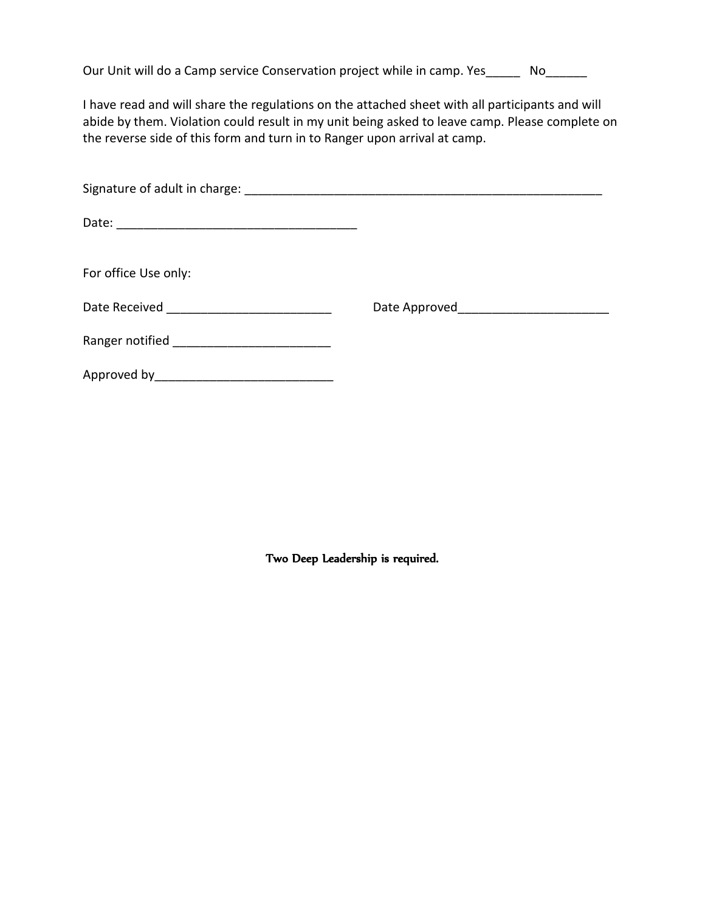| Our Unit will do a Camp service Conservation project while in camp. Yes_ |  | No. |
|--------------------------------------------------------------------------|--|-----|
|--------------------------------------------------------------------------|--|-----|

I have read and will share the regulations on the attached sheet with all participants and will abide by them. Violation could result in my unit being asked to leave camp. Please complete on the reverse side of this form and turn in to Ranger upon arrival at camp.

| For office Use only:                          |                                          |
|-----------------------------------------------|------------------------------------------|
|                                               | Date Approved___________________________ |
| Ranger notified _____________________________ |                                          |
| Approved by_________________________________  |                                          |

Two Deep Leadership is required.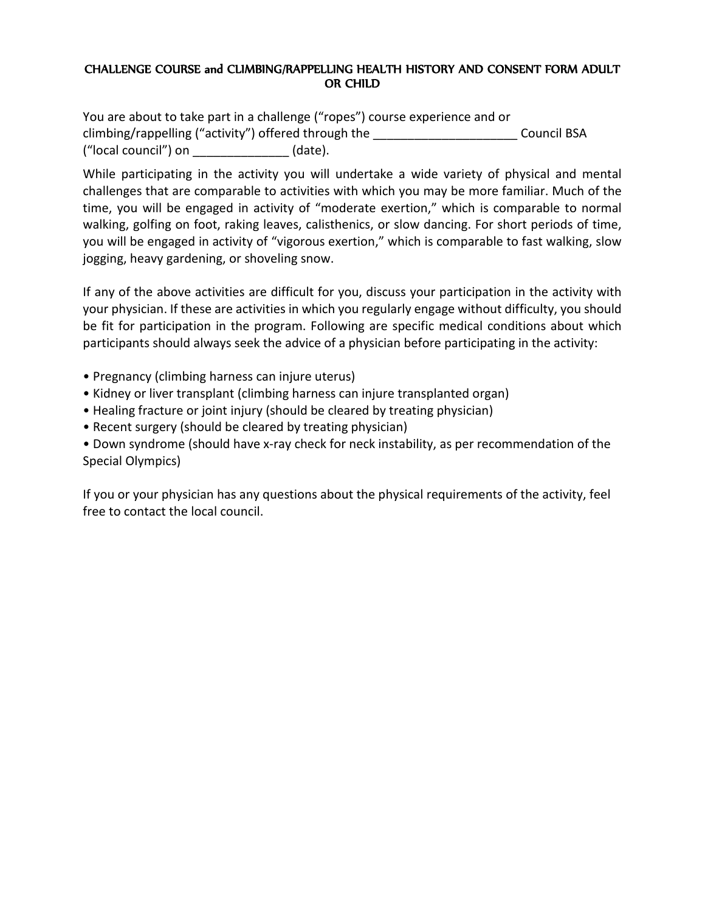# CHALLENGE COURSE and CLIMBING/RAPPELLING HEALTH HISTORY AND CONSENT FORM ADULT OR CHILD

You are about to take part in a challenge ("ropes") course experience and or climbing/rappelling ("activity") offered through the **Example 20** Council BSA ("local council") on \_\_\_\_\_\_\_\_\_\_\_\_\_\_ (date).

While participating in the activity you will undertake a wide variety of physical and mental challenges that are comparable to activities with which you may be more familiar. Much of the time, you will be engaged in activity of "moderate exertion," which is comparable to normal walking, golfing on foot, raking leaves, calisthenics, or slow dancing. For short periods of time, you will be engaged in activity of "vigorous exertion," which is comparable to fast walking, slow jogging, heavy gardening, or shoveling snow.

If any of the above activities are difficult for you, discuss your participation in the activity with your physician. If these are activities in which you regularly engage without difficulty, you should be fit for participation in the program. Following are specific medical conditions about which participants should always seek the advice of a physician before participating in the activity:

- Pregnancy (climbing harness can injure uterus)
- Kidney or liver transplant (climbing harness can injure transplanted organ)
- Healing fracture or joint injury (should be cleared by treating physician)
- Recent surgery (should be cleared by treating physician)

• Down syndrome (should have x-ray check for neck instability, as per recommendation of the Special Olympics)

If you or your physician has any questions about the physical requirements of the activity, feel free to contact the local council.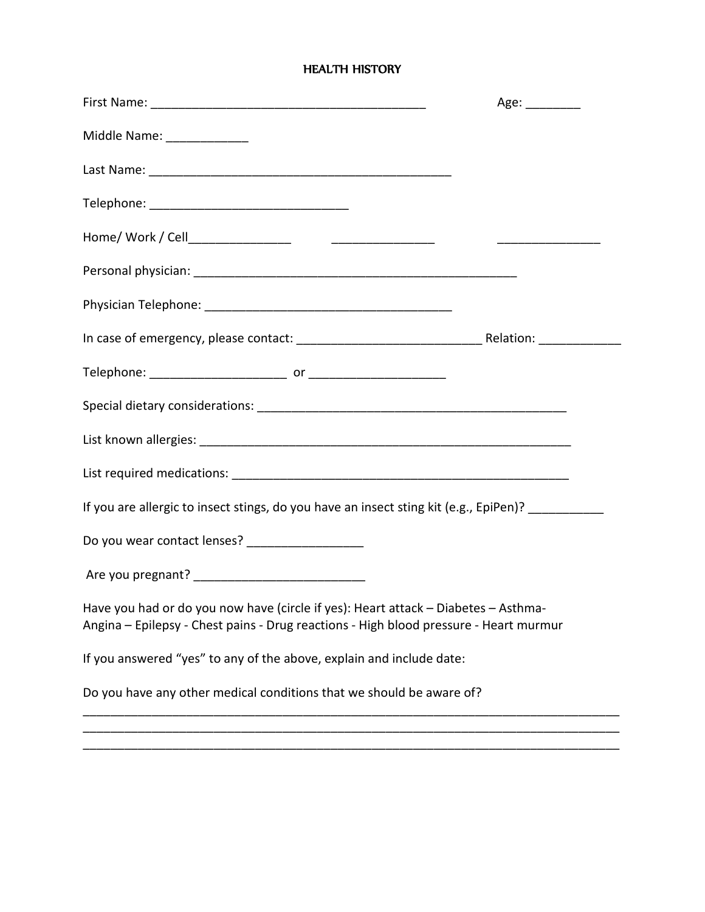#### HEALTH HISTORY

|                                                                                                                                                                             | Age: _________ |
|-----------------------------------------------------------------------------------------------------------------------------------------------------------------------------|----------------|
| Middle Name: ______________                                                                                                                                                 |                |
|                                                                                                                                                                             |                |
|                                                                                                                                                                             |                |
|                                                                                                                                                                             |                |
|                                                                                                                                                                             |                |
|                                                                                                                                                                             |                |
|                                                                                                                                                                             |                |
|                                                                                                                                                                             |                |
|                                                                                                                                                                             |                |
|                                                                                                                                                                             |                |
|                                                                                                                                                                             |                |
| If you are allergic to insect stings, do you have an insect sting kit (e.g., EpiPen)? __________                                                                            |                |
| Do you wear contact lenses? ____________________                                                                                                                            |                |
|                                                                                                                                                                             |                |
| Have you had or do you now have (circle if yes): Heart attack – Diabetes – Asthma-<br>Angina - Epilepsy - Chest pains - Drug reactions - High blood pressure - Heart murmur |                |
| If you answered "yes" to any of the above, explain and include date:                                                                                                        |                |
| Do you have any other medical conditions that we should be aware of?                                                                                                        |                |
|                                                                                                                                                                             |                |

\_\_\_\_\_\_\_\_\_\_\_\_\_\_\_\_\_\_\_\_\_\_\_\_\_\_\_\_\_\_\_\_\_\_\_\_\_\_\_\_\_\_\_\_\_\_\_\_\_\_\_\_\_\_\_\_\_\_\_\_\_\_\_\_\_\_\_\_\_\_\_\_\_\_\_\_\_\_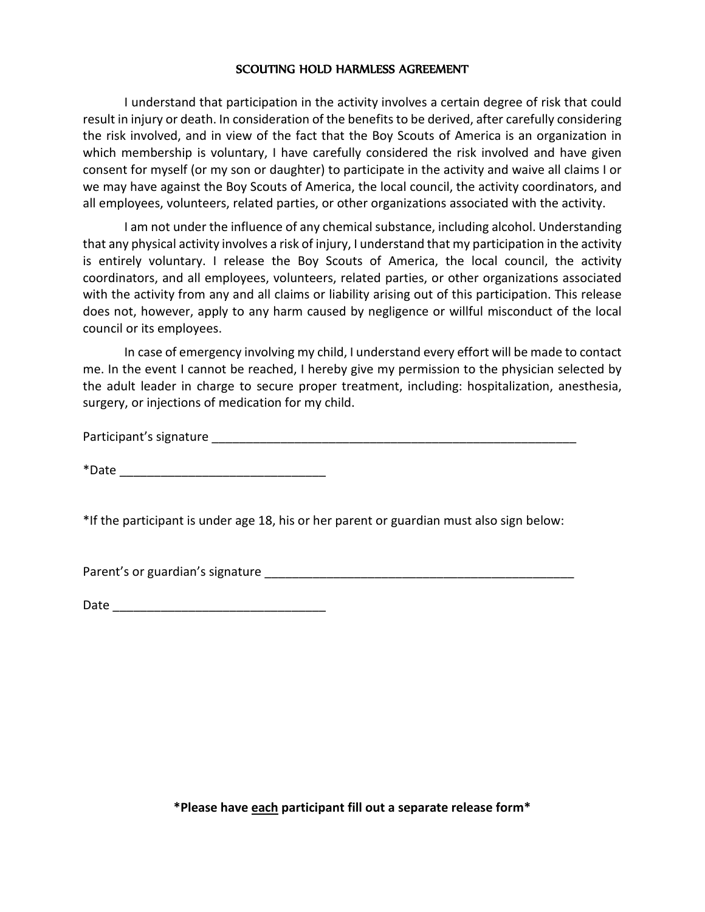### SCOUTING HOLD HARMLESS AGREEMENT

I understand that participation in the activity involves a certain degree of risk that could result in injury or death. In consideration of the benefits to be derived, after carefully considering the risk involved, and in view of the fact that the Boy Scouts of America is an organization in which membership is voluntary, I have carefully considered the risk involved and have given consent for myself (or my son or daughter) to participate in the activity and waive all claims I or we may have against the Boy Scouts of America, the local council, the activity coordinators, and all employees, volunteers, related parties, or other organizations associated with the activity.

I am not under the influence of any chemical substance, including alcohol. Understanding that any physical activity involves a risk of injury, I understand that my participation in the activity is entirely voluntary. I release the Boy Scouts of America, the local council, the activity coordinators, and all employees, volunteers, related parties, or other organizations associated with the activity from any and all claims or liability arising out of this participation. This release does not, however, apply to any harm caused by negligence or willful misconduct of the local council or its employees.

In case of emergency involving my child, I understand every effort will be made to contact me. In the event I cannot be reached, I hereby give my permission to the physician selected by the adult leader in charge to secure proper treatment, including: hospitalization, anesthesia, surgery, or injections of medication for my child.

Participant's signature \_\_\_\_\_\_\_\_\_\_\_\_\_\_\_\_\_\_\_\_\_\_\_\_\_\_\_\_\_\_\_\_\_\_\_\_\_\_\_\_\_\_\_\_\_\_\_\_\_\_\_\_\_

 $*$ Date  $*$ 

\*If the participant is under age 18, his or her parent or guardian must also sign below:

Parent's or guardian's signature \_\_\_\_\_\_\_\_\_\_\_\_\_\_\_\_\_\_\_\_\_\_\_\_\_\_\_\_\_\_\_\_\_\_\_\_\_\_\_\_\_\_\_\_\_

**\*Please have each participant fill out a separate release form\***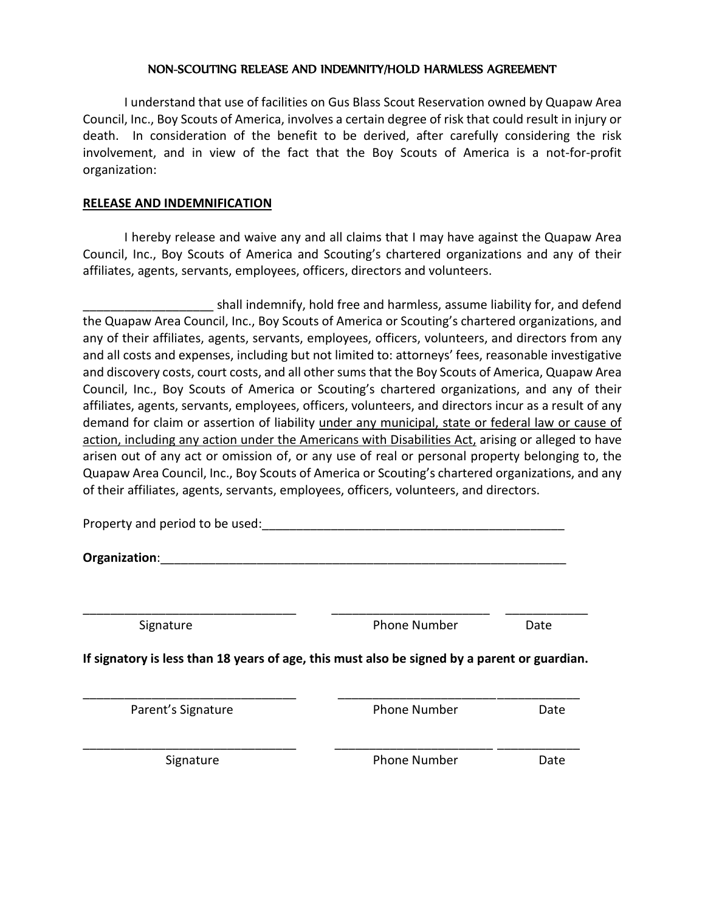### NON-SCOUTING RELEASE AND INDEMNITY/HOLD HARMLESS AGREEMENT

I understand that use of facilities on Gus Blass Scout Reservation owned by Quapaw Area Council, Inc., Boy Scouts of America, involves a certain degree of risk that could result in injury or death. In consideration of the benefit to be derived, after carefully considering the risk involvement, and in view of the fact that the Boy Scouts of America is a not-for-profit organization:

# **RELEASE AND INDEMNIFICATION**

I hereby release and waive any and all claims that I may have against the Quapaw Area Council, Inc., Boy Scouts of America and Scouting's chartered organizations and any of their affiliates, agents, servants, employees, officers, directors and volunteers.

shall indemnify, hold free and harmless, assume liability for, and defend the Quapaw Area Council, Inc., Boy Scouts of America or Scouting's chartered organizations, and any of their affiliates, agents, servants, employees, officers, volunteers, and directors from any and all costs and expenses, including but not limited to: attorneys' fees, reasonable investigative and discovery costs, court costs, and all other sums that the Boy Scouts of America, Quapaw Area Council, Inc., Boy Scouts of America or Scouting's chartered organizations, and any of their affiliates, agents, servants, employees, officers, volunteers, and directors incur as a result of any demand for claim or assertion of liability under any municipal, state or federal law or cause of action, including any action under the Americans with Disabilities Act, arising or alleged to have arisen out of any act or omission of, or any use of real or personal property belonging to, the Quapaw Area Council, Inc., Boy Scouts of America or Scouting's chartered organizations, and any of their affiliates, agents, servants, employees, officers, volunteers, and directors.

| Property and period to be used:                                                              |                     |      |
|----------------------------------------------------------------------------------------------|---------------------|------|
| Organization:                                                                                |                     |      |
| Signature                                                                                    | <b>Phone Number</b> | Date |
| If signatory is less than 18 years of age, this must also be signed by a parent or guardian. |                     |      |
| Parent's Signature                                                                           | <b>Phone Number</b> | Date |
| Signature                                                                                    | <b>Phone Number</b> | Date |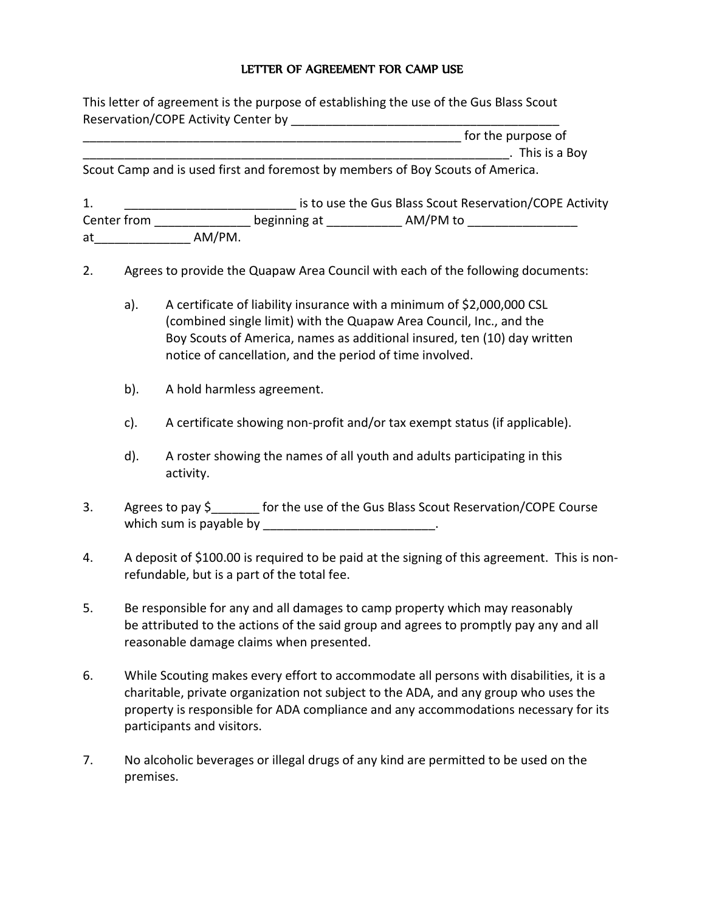# LETTER OF AGREEMENT FOR CAMP USE

| This letter of agreement is the purpose of establishing the use of the Gus Blass Scout |
|----------------------------------------------------------------------------------------|
| Reservation/COPE Activity Center by                                                    |

| for the purpose of |               |
|--------------------|---------------|
|                    | This is a Boy |

Scout Camp and is used first and foremost by members of Boy Scouts of America.

| Τ.          |        |              |          | is to use the Gus Blass Scout Reservation/COPE Activity |  |
|-------------|--------|--------------|----------|---------------------------------------------------------|--|
| Center from |        | beginning at | AM/PM to |                                                         |  |
| at          | AM/PM. |              |          |                                                         |  |

- 2. Agrees to provide the Quapaw Area Council with each of the following documents:
	- a). A certificate of liability insurance with a minimum of \$2,000,000 CSL (combined single limit) with the Quapaw Area Council, Inc., and the Boy Scouts of America, names as additional insured, ten (10) day written notice of cancellation, and the period of time involved.
	- b). A hold harmless agreement.
	- c). A certificate showing non-profit and/or tax exempt status (if applicable).
	- d). A roster showing the names of all youth and adults participating in this activity.
- 3. Agrees to pay \$ for the use of the Gus Blass Scout Reservation/COPE Course which sum is payable by  $\frac{1}{2}$   $\frac{1}{2}$   $\frac{1}{2}$   $\frac{1}{2}$   $\frac{1}{2}$   $\frac{1}{2}$   $\frac{1}{2}$   $\frac{1}{2}$   $\frac{1}{2}$   $\frac{1}{2}$   $\frac{1}{2}$   $\frac{1}{2}$   $\frac{1}{2}$   $\frac{1}{2}$   $\frac{1}{2}$   $\frac{1}{2}$   $\frac{1}{2}$   $\frac{1}{2}$   $\frac{1}{2}$   $\frac{1}{2$
- 4. A deposit of \$100.00 is required to be paid at the signing of this agreement. This is nonrefundable, but is a part of the total fee.
- 5. Be responsible for any and all damages to camp property which may reasonably be attributed to the actions of the said group and agrees to promptly pay any and all reasonable damage claims when presented.
- 6. While Scouting makes every effort to accommodate all persons with disabilities, it is a charitable, private organization not subject to the ADA, and any group who uses the property is responsible for ADA compliance and any accommodations necessary for its participants and visitors.
- 7. No alcoholic beverages or illegal drugs of any kind are permitted to be used on the premises.